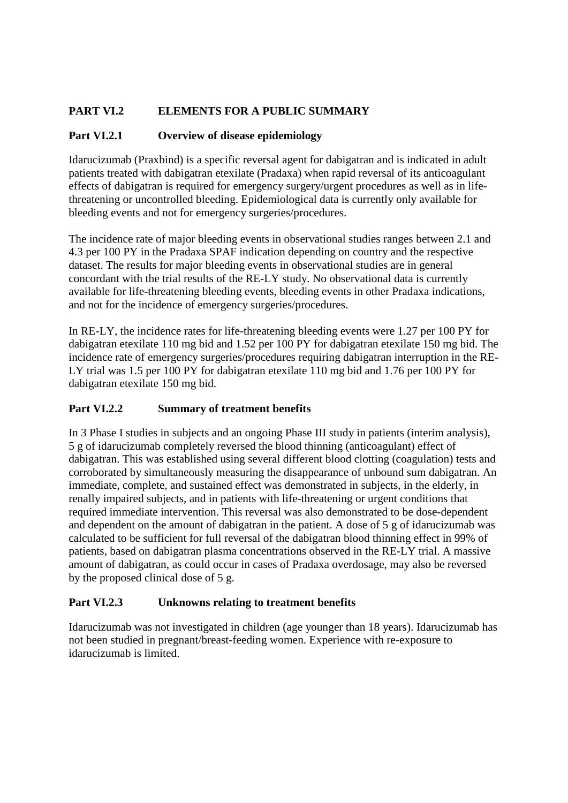# **PART VI.2 ELEMENTS FOR A PUBLIC SUMMARY**

## **Part VI.2.1 Overview of disease epidemiology**

Idarucizumab (Praxbind) is a specific reversal agent for dabigatran and is indicated in adult patients treated with dabigatran etexilate (Pradaxa) when rapid reversal of its anticoagulant effects of dabigatran is required for emergency surgery/urgent procedures as well as in lifethreatening or uncontrolled bleeding. Epidemiological data is currently only available for bleeding events and not for emergency surgeries/procedures.

The incidence rate of major bleeding events in observational studies ranges between 2.1 and 4.3 per 100 PY in the Pradaxa SPAF indication depending on country and the respective dataset. The results for major bleeding events in observational studies are in general concordant with the trial results of the RE-LY study. No observational data is currently available for life-threatening bleeding events, bleeding events in other Pradaxa indications, and not for the incidence of emergency surgeries/procedures.

In RE-LY, the incidence rates for life-threatening bleeding events were 1.27 per 100 PY for dabigatran etexilate 110 mg bid and 1.52 per 100 PY for dabigatran etexilate 150 mg bid. The incidence rate of emergency surgeries/procedures requiring dabigatran interruption in the RE-LY trial was 1.5 per 100 PY for dabigatran etexilate 110 mg bid and 1.76 per 100 PY for dabigatran etexilate 150 mg bid.

# **Part VI.2.2 Summary of treatment benefits**

In 3 Phase I studies in subjects and an ongoing Phase III study in patients (interim analysis), 5 g of idarucizumab completely reversed the blood thinning (anticoagulant) effect of dabigatran. This was established using several different blood clotting (coagulation) tests and corroborated by simultaneously measuring the disappearance of unbound sum dabigatran. An immediate, complete, and sustained effect was demonstrated in subjects, in the elderly, in renally impaired subjects, and in patients with life-threatening or urgent conditions that required immediate intervention. This reversal was also demonstrated to be dose-dependent and dependent on the amount of dabigatran in the patient. A dose of 5 g of idarucizumab was calculated to be sufficient for full reversal of the dabigatran blood thinning effect in 99% of patients, based on dabigatran plasma concentrations observed in the RE-LY trial. A massive amount of dabigatran, as could occur in cases of Pradaxa overdosage, may also be reversed by the proposed clinical dose of 5 g.

# **Part VI.2.3 Unknowns relating to treatment benefits**

Idarucizumab was not investigated in children (age younger than 18 years). Idarucizumab has not been studied in pregnant/breast-feeding women. Experience with re-exposure to idarucizumab is limited.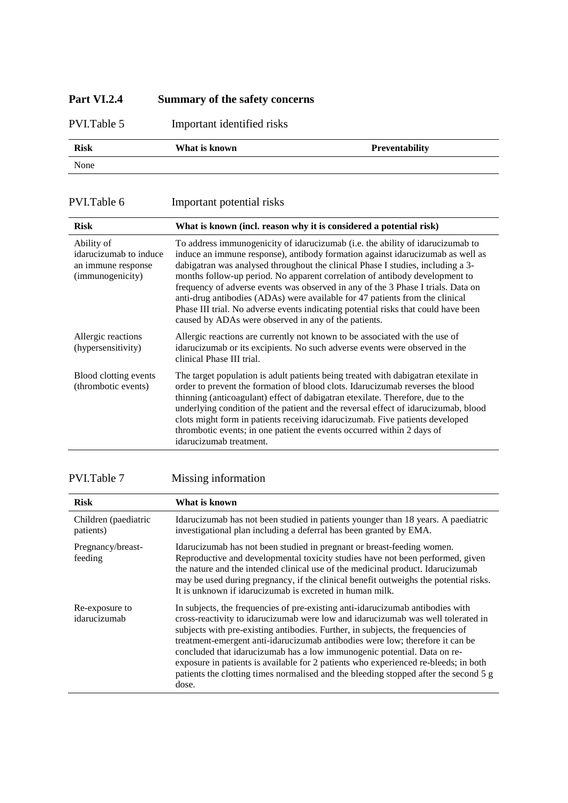# **Part VI.2.4 Summary of the safety concerns**

PVI.Table 5 Important identified risks

| <b>Risk</b> | What is known | Preventability |
|-------------|---------------|----------------|
| None        |               |                |

PVI.Table 6 Important potential risks

| <b>Risk</b>                                                                    | What is known (incl. reason why it is considered a potential risk)                                                                                                                                                                                                                                                                                                                                                                                                                                                                                                                                                                                   |
|--------------------------------------------------------------------------------|------------------------------------------------------------------------------------------------------------------------------------------------------------------------------------------------------------------------------------------------------------------------------------------------------------------------------------------------------------------------------------------------------------------------------------------------------------------------------------------------------------------------------------------------------------------------------------------------------------------------------------------------------|
| Ability of<br>idarucizumab to induce<br>an immune response<br>(immunogenicity) | To address immunogenicity of idarucizumab (i.e. the ability of idarucizumab to<br>induce an immune response), antibody formation against idarucizumab as well as<br>dabigatran was analysed throughout the clinical Phase I studies, including a 3-<br>months follow-up period. No apparent correlation of antibody development to<br>frequency of adverse events was observed in any of the 3 Phase I trials. Data on<br>anti-drug antibodies (ADAs) were available for 47 patients from the clinical<br>Phase III trial. No adverse events indicating potential risks that could have been<br>caused by ADAs were observed in any of the patients. |
| Allergic reactions<br>(hypersensitivity)                                       | Allergic reactions are currently not known to be associated with the use of<br>idarucizumab or its excipients. No such adverse events were observed in the<br>clinical Phase III trial.                                                                                                                                                                                                                                                                                                                                                                                                                                                              |
| Blood clotting events<br>(thrombotic events)                                   | The target population is adult patients being treated with dabigatran etexilate in<br>order to prevent the formation of blood clots. Idarucizumab reverses the blood<br>thinning (anticoagulant) effect of dabigatran etexilate. Therefore, due to the<br>underlying condition of the patient and the reversal effect of idarucizumab, blood<br>clots might form in patients receiving idarucizumab. Five patients developed<br>thrombotic events; in one patient the events occurred within 2 days of<br>idarucizumab treatment.                                                                                                                    |

# PVI.Table 7 Missing information

| <b>Risk</b>                       | What is known                                                                                                                                                                                                                                                                                                                                                                                                                                                                                                                                                                                               |
|-----------------------------------|-------------------------------------------------------------------------------------------------------------------------------------------------------------------------------------------------------------------------------------------------------------------------------------------------------------------------------------------------------------------------------------------------------------------------------------------------------------------------------------------------------------------------------------------------------------------------------------------------------------|
| Children (paediatric<br>patients) | Idarucizumab has not been studied in patients younger than 18 years. A paediatric<br>investigational plan including a deferral has been granted by EMA.                                                                                                                                                                                                                                                                                                                                                                                                                                                     |
| Pregnancy/breast-<br>feeding      | Idarucizumab has not been studied in pregnant or breast-feeding women.<br>Reproductive and developmental toxicity studies have not been performed, given<br>the nature and the intended clinical use of the medicinal product. Idarucizumab<br>may be used during pregnancy, if the clinical benefit outweighs the potential risks.<br>It is unknown if idarucizumab is excreted in human milk.                                                                                                                                                                                                             |
| Re-exposure to<br>idarucizumab    | In subjects, the frequencies of pre-existing anti-idarucizum ab antibodies with<br>cross-reactivity to idarucizumab were low and idarucizumab was well tolerated in<br>subjects with pre-existing antibodies. Further, in subjects, the frequencies of<br>treatment-emergent anti-idarucizumab antibodies were low; therefore it can be<br>concluded that idarucizumab has a low immunogenic potential. Data on re-<br>exposure in patients is available for 2 patients who experienced re-bleeds; in both<br>patients the clotting times normalised and the bleeding stopped after the second 5 g<br>dose. |